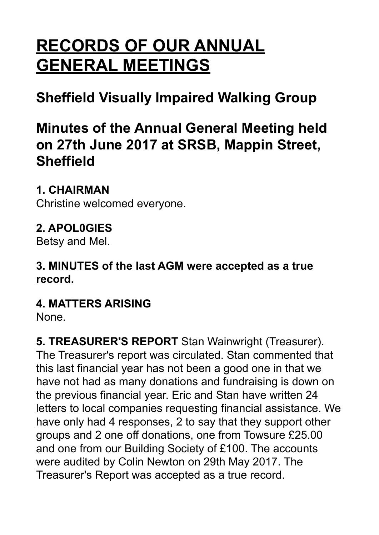# **RECORDS OF OUR ANNUAL GENERAL MEETINGS**

# **Sheffield Visually Impaired Walking Group**

# **Minutes of the Annual General Meeting held on 27th June 2017 at SRSB, Mappin Street, Sheffield**

#### **1. CHAIRMAN**

Christine welcomed everyone.

#### **2. APOL0GIES**

Betsy and Mel.

**3. MINUTES of the last AGM were accepted as a true record.**

#### **4. MATTERS ARISING**

None.

**5. TREASURER'S REPORT** Stan Wainwright (Treasurer). The Treasurer's report was circulated. Stan commented that this last financial year has not been a good one in that we have not had as many donations and fundraising is down on the previous financial year. Eric and Stan have written 24 letters to local companies requesting financial assistance. We have only had 4 responses, 2 to say that they support other groups and 2 one off donations, one from Towsure £25.00 and one from our Building Society of £100. The accounts were audited by Colin Newton on 29th May 2017. The Treasurer's Report was accepted as a true record.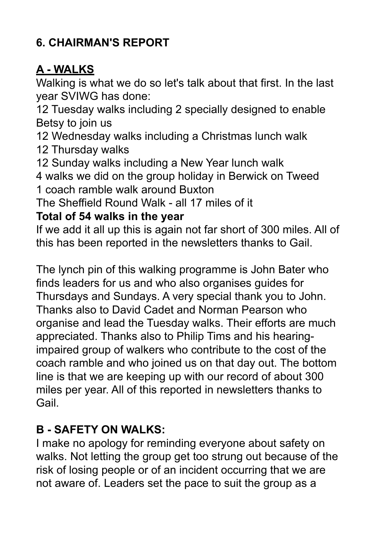# **6. CHAIRMAN'S REPORT**

### **A - WALKS**

Walking is what we do so let's talk about that first. In the last year SVIWG has done:

12 Tuesday walks including 2 specially designed to enable Betsy to join us

12 Wednesday walks including a Christmas lunch walk

12 Thursday walks

12 Sunday walks including a New Year lunch walk

4 walks we did on the group holiday in Berwick on Tweed 1 coach ramble walk around Buxton

The Sheffield Round Walk - all 17 miles of it

#### **Total of 54 walks in the year**

If we add it all up this is again not far short of 300 miles. All of this has been reported in the newsletters thanks to Gail.

The lynch pin of this walking programme is John Bater who finds leaders for us and who also organises guides for Thursdays and Sundays. A very special thank you to John. Thanks also to David Cadet and Norman Pearson who organise and lead the Tuesday walks. Their efforts are much appreciated. Thanks also to Philip Tims and his hearingimpaired group of walkers who contribute to the cost of the coach ramble and who joined us on that day out. The bottom line is that we are keeping up with our record of about 300 miles per year. All of this reported in newsletters thanks to Gail.

# **B - SAFETY ON WALKS:**

I make no apology for reminding everyone about safety on walks. Not letting the group get too strung out because of the risk of losing people or of an incident occurring that we are not aware of. Leaders set the pace to suit the group as a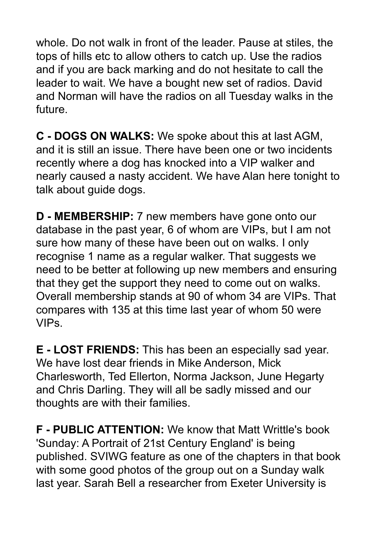whole. Do not walk in front of the leader. Pause at stiles, the tops of hills etc to allow others to catch up. Use the radios and if you are back marking and do not hesitate to call the leader to wait. We have a bought new set of radios. David and Norman will have the radios on all Tuesday walks in the future.

**C - DOGS ON WALKS:** We spoke about this at last AGM, and it is still an issue. There have been one or two incidents recently where a dog has knocked into a VIP walker and nearly caused a nasty accident. We have Alan here tonight to talk about guide dogs.

**D - MEMBERSHIP:** 7 new members have gone onto our database in the past year, 6 of whom are VIPs, but I am not sure how many of these have been out on walks. I only recognise 1 name as a regular walker. That suggests we need to be better at following up new members and ensuring that they get the support they need to come out on walks. Overall membership stands at 90 of whom 34 are VIPs. That compares with 135 at this time last year of whom 50 were VIPs.

**E - LOST FRIENDS:** This has been an especially sad year. We have lost dear friends in Mike Anderson, Mick Charlesworth, Ted Ellerton, Norma Jackson, June Hegarty and Chris Darling. They will all be sadly missed and our thoughts are with their families.

**F - PUBLIC ATTENTION:** We know that Matt Writtle's book 'Sunday: A Portrait of 21st Century England' is being published. SVIWG feature as one of the chapters in that book with some good photos of the group out on a Sunday walk last year. Sarah Bell a researcher from Exeter University is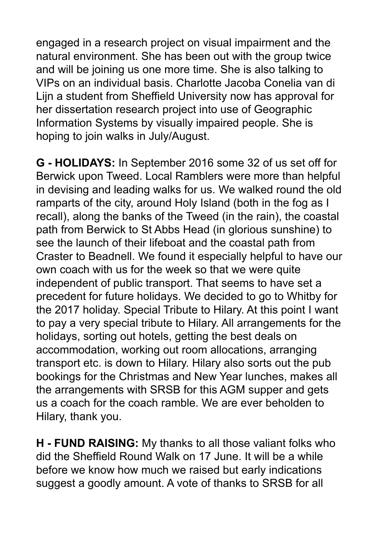engaged in a research project on visual impairment and the natural environment. She has been out with the group twice and will be joining us one more time. She is also talking to VIPs on an individual basis. Charlotte Jacoba Conelia van di Lijn a student from Sheffield University now has approval for her dissertation research project into use of Geographic Information Systems by visually impaired people. She is hoping to join walks in July/August.

**G - HOLIDAYS:** In September 2016 some 32 of us set off for Berwick upon Tweed. Local Ramblers were more than helpful in devising and leading walks for us. We walked round the old ramparts of the city, around Holy Island (both in the fog as I recall), along the banks of the Tweed (in the rain), the coastal path from Berwick to St Abbs Head (in glorious sunshine) to see the launch of their lifeboat and the coastal path from Craster to Beadnell. We found it especially helpful to have our own coach with us for the week so that we were quite independent of public transport. That seems to have set a precedent for future holidays. We decided to go to Whitby for the 2017 holiday. Special Tribute to Hilary. At this point I want to pay a very special tribute to Hilary. All arrangements for the holidays, sorting out hotels, getting the best deals on accommodation, working out room allocations, arranging transport etc. is down to Hilary. Hilary also sorts out the pub bookings for the Christmas and New Year lunches, makes all the arrangements with SRSB for this AGM supper and gets us a coach for the coach ramble. We are ever beholden to Hilary, thank you.

**H - FUND RAISING:** My thanks to all those valiant folks who did the Sheffield Round Walk on 17 June. It will be a while before we know how much we raised but early indications suggest a goodly amount. A vote of thanks to SRSB for all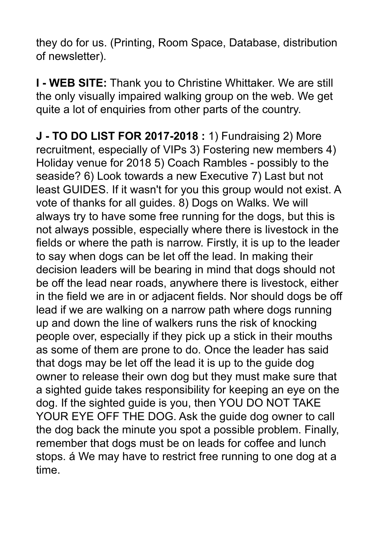they do for us. (Printing, Room Space, Database, distribution of newsletter).

**I - WEB SITE:** Thank you to Christine Whittaker. We are still the only visually impaired walking group on the web. We get quite a lot of enquiries from other parts of the country.

**J - TO DO LIST FOR 2017-2018 :** 1) Fundraising 2) More recruitment, especially of VIPs 3) Fostering new members 4) Holiday venue for 2018 5) Coach Rambles - possibly to the seaside? 6) Look towards a new Executive 7) Last but not least GUIDES. If it wasn't for you this group would not exist. A vote of thanks for all guides. 8) Dogs on Walks. We will always try to have some free running for the dogs, but this is not always possible, especially where there is livestock in the fields or where the path is narrow. Firstly, it is up to the leader to say when dogs can be let off the lead. In making their decision leaders will be bearing in mind that dogs should not be off the lead near roads, anywhere there is livestock, either in the field we are in or adjacent fields. Nor should dogs be off lead if we are walking on a narrow path where dogs running up and down the line of walkers runs the risk of knocking people over, especially if they pick up a stick in their mouths as some of them are prone to do. Once the leader has said that dogs may be let off the lead it is up to the guide dog owner to release their own dog but they must make sure that a sighted guide takes responsibility for keeping an eye on the dog. If the sighted guide is you, then YOU DO NOT TAKE YOUR EYE OFF THE DOG. Ask the guide dog owner to call the dog back the minute you spot a possible problem. Finally, remember that dogs must be on leads for coffee and lunch stops. á We may have to restrict free running to one dog at a time.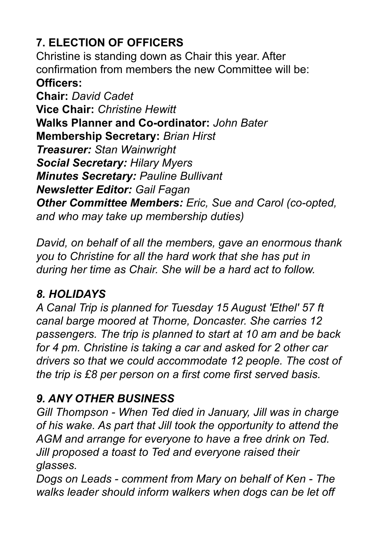# **7. ELECTION OF OFFICERS**

Christine is standing down as Chair this year. After confirmation from members the new Committee will be: **Officers:** 

**Chair:** *David Cadet*  **Vice Chair:** *Christine Hewitt* **Walks Planner and Co-ordinator:** *John Bater*  **Membership Secretary:** *Brian Hirst Treasurer: Stan Wainwright Social Secretary: Hilary Myers Minutes Secretary: Pauline Bullivant Newsletter Editor: Gail Fagan Other Committee Members: Eric, Sue and Carol (co-opted, and who may take up membership duties)* 

*David, on behalf of all the members, gave an enormous thank you to Christine for all the hard work that she has put in during her time as Chair. She will be a hard act to follow.*

#### *8. HOLIDAYS*

*A Canal Trip is planned for Tuesday 15 August 'Ethel' 57 ft canal barge moored at Thorne, Doncaster. She carries 12 passengers. The trip is planned to start at 10 am and be back for 4 pm. Christine is taking a car and asked for 2 other car drivers so that we could accommodate 12 people. The cost of the trip is £8 per person on a first come first served basis.*

#### *9. ANY OTHER BUSINESS*

*Gill Thompson - When Ted died in January, Jill was in charge of his wake. As part that Jill took the opportunity to attend the AGM and arrange for everyone to have a free drink on Ted. Jill proposed a toast to Ted and everyone raised their glasses.* 

*Dogs on Leads - comment from Mary on behalf of Ken - The walks leader should inform walkers when dogs can be let off*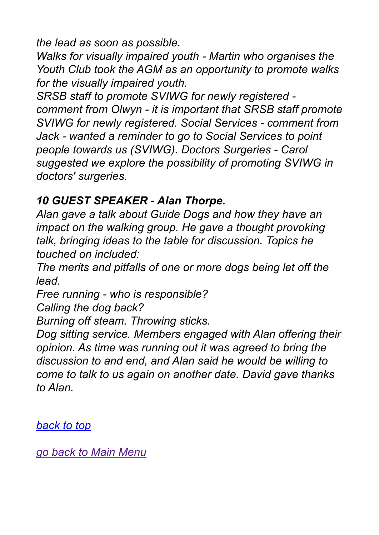*the lead as soon as possible.*

*Walks for visually impaired youth - Martin who organises the Youth Club took the AGM as an opportunity to promote walks for the visually impaired youth.*

*SRSB staff to promote SVIWG for newly registered comment from Olwyn - it is important that SRSB staff promote SVIWG for newly registered. Social Services - comment from Jack - wanted a reminder to go to Social Services to point people towards us (SVIWG). Doctors Surgeries - Carol suggested we explore the possibility of promoting SVIWG in doctors' surgeries.*

#### *10 GUEST SPEAKER - Alan Thorpe.*

*Alan gave a talk about Guide Dogs and how they have an impact on the walking group. He gave a thought provoking talk, bringing ideas to the table for discussion. Topics he touched on included:* 

*The merits and pitfalls of one or more dogs being let off the lead.* 

*Free running - who is responsible?* 

*Calling the dog back?* 

*Burning off steam. Throwing sticks.* 

*Dog sitting service. Members engaged with Alan offering their opinion. As time was running out it was agreed to bring the discussion to and end, and Alan said he would be willing to come to talk to us again on another date. David gave thanks to Alan.*

*back to top*

*[go back to Main Menu](http://sviwg.co.uk/default.html)*